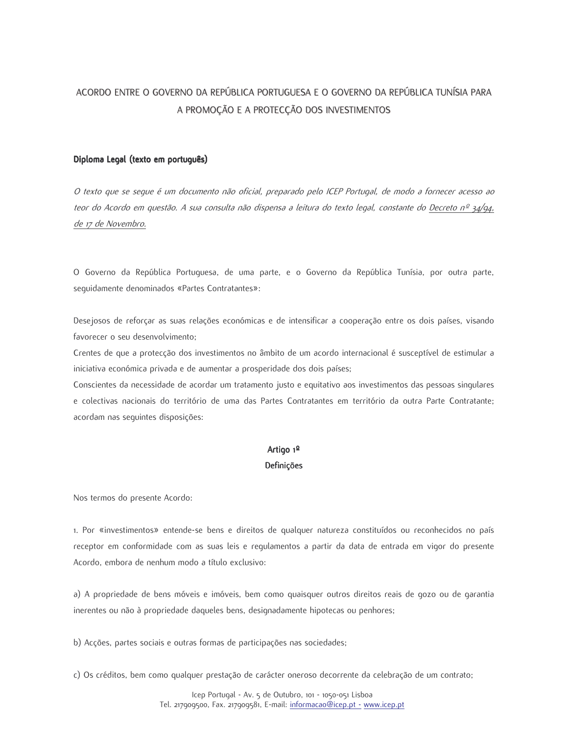# ACORDO ENTRE O GOVERNO DA REPÚBLICA PORTUGUESA E O GOVERNO DA REPÚBLICA TUNÍSIA PARA A PROMOÇÃO E A PROTECÇÃO DOS INVESTIMENTOS

### Diploma Legal (texto em português)

O texto que se seque é um documento não oficial, preparado pelo ICEP Portugal, de modo a fornecer acesso ao teor do Acordo em questão. A sua consulta não dispensa a leitura do texto legal, constante do Decreto nº 34/94, de 17 de Novembro.

O Governo da República Portuguesa, de uma parte, e o Governo da República Tunísia, por outra parte, sequidamente denominados «Partes Contratantes»:

Desejosos de reforçar as suas relações económicas e de intensificar a cooperação entre os dois países, visando favorecer o seu desenvolvimento;

Crentes de que a protecção dos investimentos no âmbito de um acordo internacional é susceptível de estimular a iniciativa económica privada e de aumentar a prosperidade dos dois países;

Conscientes da necessidade de acordar um tratamento justo e equitativo aos investimentos das pessoas singulares e colectivas nacionais do território de uma das Partes Contratantes em território da outra Parte Contratante; acordam nas seguintes disposições:

## Artigo 1º **Definicões**

Nos termos do presente Acordo:

1. Por «investimentos» entende-se bens e direitos de qualquer natureza constituídos ou reconhecidos no país receptor em conformidade com as suas leis e regulamentos a partir da data de entrada em vigor do presente Acordo, embora de nenhum modo a título exclusivo:

a) A propriedade de bens móveis e imóveis, bem como quaisquer outros direitos reais de gozo ou de garantia inerentes ou não à propriedade daqueles bens, designadamente hipotecas ou penhores;

b) Acções, partes sociais e outras formas de participações nas sociedades;

c) Os créditos, bem como qualquer prestação de carácter oneroso decorrente da celebração de um contrato;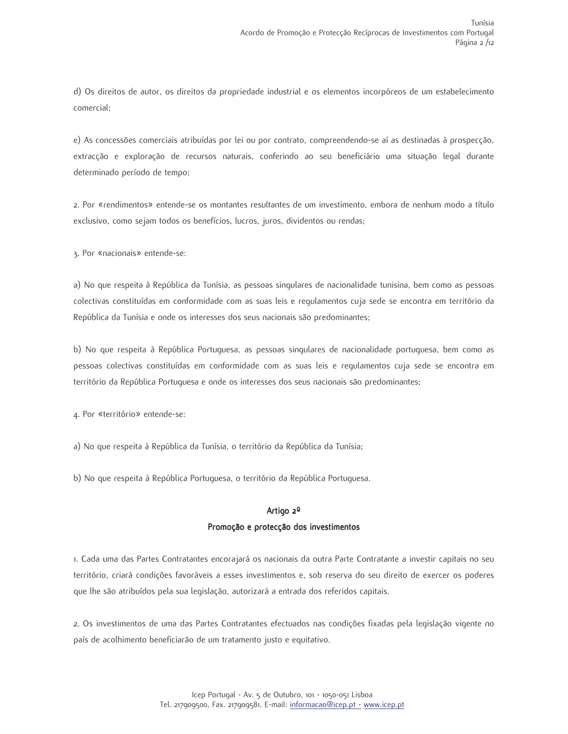d) Os direitos de autor, os direitos da propriedade industrial e os elementos incorpóreos de um estabelecimento comercial;

e) As concessões comerciais atribuídas por lei ou por contrato, compreendendo-se aí as destinadas à prospecção, extracção e exploração de recursos naturais, conferindo ao seu beneficiário uma situação legal durante determinado período de tempo;

2. Por «rendimentos» entende-se os montantes resultantes de um investimento, embora de nenhum modo a título exclusivo, como sejam todos os benefícios, lucros, juros, dividentos ou rendas;

3. Por «nacionais» entende-se:

a) No que respeita à República da Tunísia, as pessoas singulares de nacionalidade tunisina, bem como as pessoas colectivas constituídas em conformidade com as suas leis e regulamentos cuja sede se encontra em território da República da Tunísia e onde os interesses dos seus nacionais são predominantes;

b) No que respeita à República Portuguesa, as pessoas singulares de nacionalidade portuguesa, bem como as pessoas colectivas constituídas em conformidade com as suas leis e requlamentos cuja sede se encontra em território da República Portuguesa e onde os interesses dos seus nacionais são predominantes;

4. Por «território» entende-se:

a) No que respeita à República da Tunísia, o território da República da Tunísia;

b) No que respeita à República Portuguesa, o território da República Portuguesa.

### Artigo 2º

## Promoção e protecção dos investimentos

1. Cada uma das Partes Contratantes encorajará os nacionais da outra Parte Contratante a investir capitais no seu território, criará condições favoráveis a esses investimentos e, sob reserva do seu direito de exercer os poderes que lhe são atribuídos pela sua legislação, autorizará a entrada dos referidos capitais.

2. Os investimentos de uma das Partes Contratantes efectuados nas condições fixadas pela legislação vigente no país de acolhimento beneficiarão de um tratamento justo e equitativo.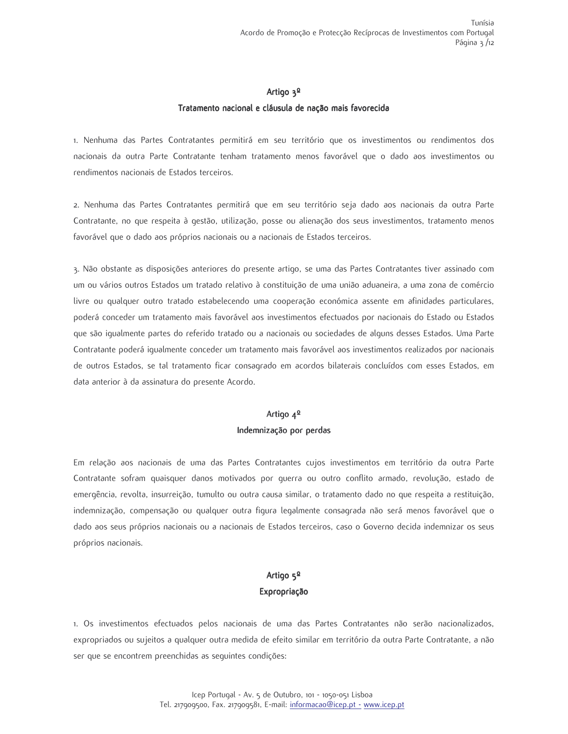### Artigo 3<sup>0</sup>

#### Tratamento nacional e cláusula de nação mais favorecida

1. Nenhuma das Partes Contratantes permitirá em seu território que os investimentos ou rendimentos dos nacionais da outra Parte Contratante tenham tratamento menos favorável que o dado aos investimentos ou rendimentos nacionais de Estados terceiros.

2. Nenhuma das Partes Contratantes permitirá que em seu território seja dado aos nacionais da outra Parte Contratante, no que respeita à gestão, utilização, posse ou alienação dos seus investimentos, tratamento menos favorável que o dado aos próprios nacionais ou a nacionais de Estados terceiros.

3. Não obstante as disposições anteriores do presente artigo, se uma das Partes Contratantes tiver assinado com um ou vários outros Estados um tratado relativo à constituição de uma união aduaneira, a uma zona de comércio livre ou qualquer outro tratado estabelecendo uma cooperação económica assente em afinidades particulares, poderá conceder um tratamento mais favorável aos investimentos efectuados por nacionais do Estado ou Estados que são igualmente partes do referido tratado ou a nacionais ou sociedades de alguns desses Estados. Uma Parte Contratante poderá iqualmente conceder um tratamento mais favorável aos investimentos realizados por nacionais de outros Estados, se tal tratamento ficar consagrado em acordos bilaterais concluídos com esses Estados, em data anterior à da assinatura do presente Acordo.

# Artigo 4º Indemnização por perdas

Em relação aos nacionais de uma das Partes Contratantes cujos investimentos em território da outra Parte Contratante sofram quaisquer danos motivados por guerra ou outro conflito armado, revolução, estado de emergência, revolta, insurreição, tumulto ou outra causa similar, o tratamento dado no que respeita a restituição, indemnização, compensação ou qualquer outra fiqura legalmente consagrada não será menos favorável que o dado aos seus próprios nacionais ou a nacionais de Estados terceiros, caso o Governo decida indemnizar os seus próprios nacionais.

# Artigo  $5^{\circ}$ Expropriação

1. Os investimentos efectuados pelos nacionais de uma das Partes Contratantes não serão nacionalizados, expropriados ou sujeitos a qualquer outra medida de efeito similar em território da outra Parte Contratante, a não ser que se encontrem preenchidas as sequintes condições: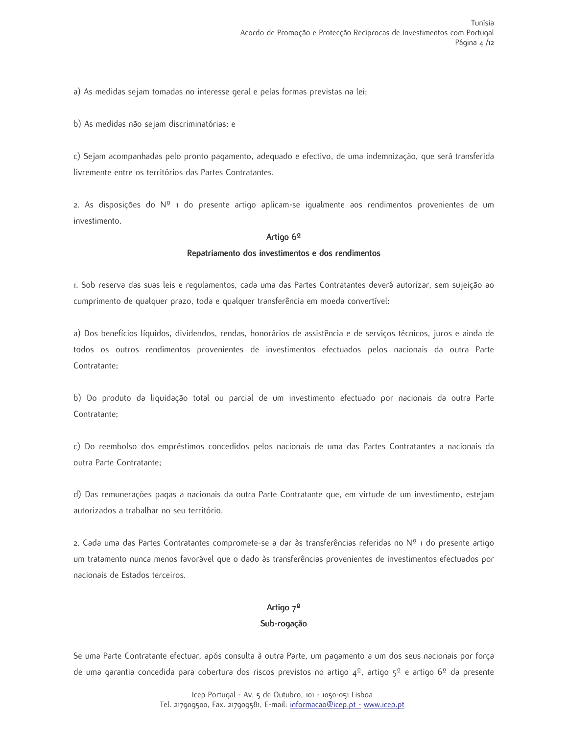a) As medidas sejam tomadas no interesse geral e pelas formas previstas na lei;

b) As medidas não sejam discriminatórias; e

c) Sejam acompanhadas pelo pronto pagamento, adeguado e efectivo, de uma indemnização, que será transferida livremente entre os territórios das Partes Contratantes.

2. As disposições do  $N^{\circ}$  1 do presente artigo aplicam-se igualmente aos rendimentos provenientes de um investimento.

#### Artigo 6º

### Repatriamento dos investimentos e dos rendimentos

1. Sob reserva das suas leis e regulamentos, cada uma das Partes Contratantes deverá autorizar, sem sujeição ao cumprimento de qualquer prazo, toda e qualquer transferência em moeda convertível:

a) Dos benefícios líquidos, dividendos, rendas, honorários de assistência e de serviços técnicos, juros e ainda de todos os outros rendimentos provenientes de investimentos efectuados pelos nacionais da outra Parte Contratante:

b) Do produto da liquidação total ou parcial de um investimento efectuado por nacionais da outra Parte Contratante:

c) Do reembolso dos empréstimos concedidos pelos nacionais de uma das Partes Contratantes a nacionais da outra Parte Contratante;

d) Das remunerações pagas a nacionais da outra Parte Contratante que, em virtude de um investimento, estejam autorizados a trabalhar no seu território.

2. Cada uma das Partes Contratantes compromete-se a dar às transferências referidas no Nº 1 do presente artigo um tratamento nunca menos favorável que o dado às transferências provenientes de investimentos efectuados por nacionais de Estados terceiros.

# Artigo 7º Sub-rogação

Se uma Parte Contratante efectuar, após consulta à outra Parte, um pagamento a um dos seus nacionais por força de uma garantia concedida para cobertura dos riscos previstos no artigo  $4^{\circ}$ , artigo  $5^{\circ}$  e artigo 6<sup>0</sup> da presente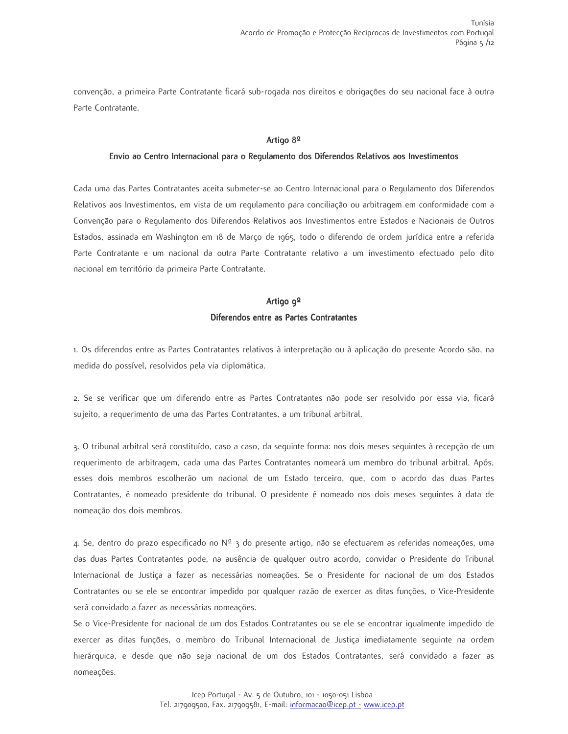convenção, a primeira Parte Contratante ficará sub-rogada nos direitos e obrigações do seu nacional face à outra Parte Contratante.

### Artigo 8º

#### Envio ao Centro Internacional para o Regulamento dos Diferendos Relativos aos Investimentos

Cada uma das Partes Contratantes aceita submeter-se ao Centro Internacional para o Regulamento dos Diferendos Relativos aos Investimentos, em vista de um requlamento para conciliação ou arbitragem em conformidade com a Convenção para o Regulamento dos Diferendos Relativos aos Investimentos entre Estados e Nacionais de Outros Estados, assinada em Washington em 18 de Março de 1965, todo o diferendo de ordem jurídica entre a referida Parte Contratante e um nacional da outra Parte Contratante relativo a um investimento efectuado pelo dito nacional em território da primeira Parte Contratante.

# Artigo 9<sup>º</sup> Diferendos entre as Partes Contratantes

1. Os diferendos entre as Partes Contratantes relativos à interpretação ou à aplicação do presente Acordo são, na medida do possível, resolvidos pela via diplomática.

2. Se se verificar que um diferendo entre as Partes Contratantes não pode ser resolvido por essa via, ficará sujeito, a requerimento de uma das Partes Contratantes, a um tribunal arbitral.

3. O tribunal arbitral será constituído, caso a caso, da sequinte forma: nos dois meses sequintes à recepção de um requerimento de arbitragem, cada uma das Partes Contratantes nomeará um membro do tribunal arbitral. Após, esses dois membros escolherão um nacional de um Estado terceiro, que, com o acordo das duas Partes Contratantes, é nomeado presidente do tribunal. O presidente é nomeado nos dois meses sequintes à data de nomeação dos dois membros.

4. Se, dentro do prazo especificado no Nº 3 do presente artigo, não se efectuarem as referidas nomeações, uma das duas Partes Contratantes pode, na ausência de qualquer outro acordo, convidar o Presidente do Tribunal Internacional de Justiça a fazer as necessárias nomeações. Se o Presidente for nacional de um dos Estados Contratantes ou se ele se encontrar impedido por qualquer razão de exercer as ditas funções, o Vice-Presidente será convidado a fazer as necessárias nomeações.

Se o Vice-Presidente for nacional de um dos Estados Contratantes ou se ele se encontrar igualmente impedido de exercer as ditas funções, o membro do Tribunal Internacional de Justiça imediatamente seguinte na ordem hierárquica, e desde que não seja nacional de um dos Estados Contratantes, será convidado a fazer as nomeações.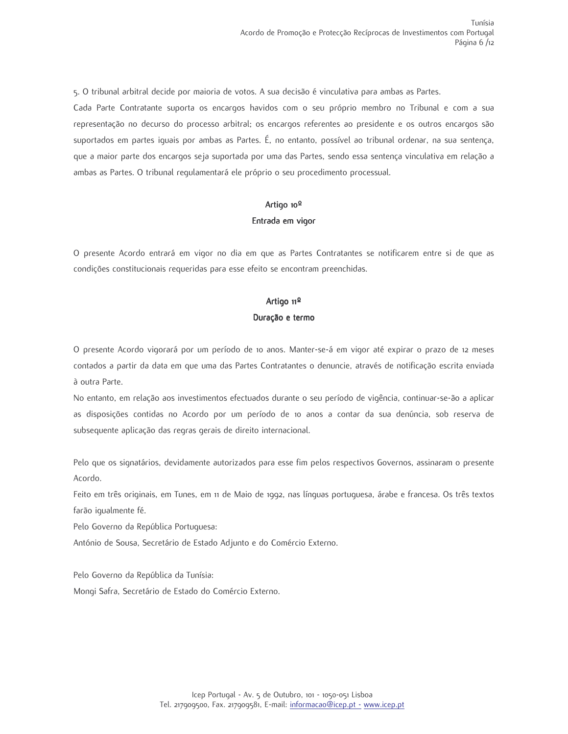5. O tribunal arbitral decide por maioria de votos. A sua decisão é vinculativa para ambas as Partes.

Cada Parte Contratante suporta os encargos havidos com o seu próprio membro no Tribunal e com a sua representação no decurso do processo arbitral; os encargos referentes ao presidente e os outros encargos são suportados em partes iguais por ambas as Partes. É, no entanto, possível ao tribunal ordenar, na sua sentença, que a maior parte dos encargos seja suportada por uma das Partes, sendo essa sentença vinculativa em relação a ambas as Partes. O tribunal regulamentará ele próprio o seu procedimento processual.

## Artigo 10<sup>0</sup> Entrada em vigor

O presente Acordo entrará em vigor no dia em que as Partes Contratantes se notificarem entre si de que as condições constitucionais requeridas para esse efeito se encontram preenchidas.

## Artigo 11º

### Duração e termo

O presente Acordo vigorará por um período de 10 anos. Manter-se-á em vigor até expirar o prazo de 12 meses contados a partir da data em que uma das Partes Contratantes o denuncie, através de notificação escrita enviada à outra Parte.

No entanto, em relação aos investimentos efectuados durante o seu período de vigência, continuar-se-ão a aplicar as disposições contidas no Acordo por um período de 10 anos a contar da sua denúncia, sob reserva de subsequente aplicação das regras gerais de direito internacional.

Pelo que os signatários, devidamente autorizados para esse fim pelos respectivos Governos, assinaram o presente Acordo.

Feito em três originais, em Tunes, em 11 de Maio de 1992, nas línguas portuguesa, árabe e francesa. Os três textos farão iqualmente fé.

Pelo Governo da República Portuguesa:

António de Sousa, Secretário de Estado Adjunto e do Comércio Externo.

Pelo Governo da República da Tunísia:

Mongi Safra, Secretário de Estado do Comércio Externo.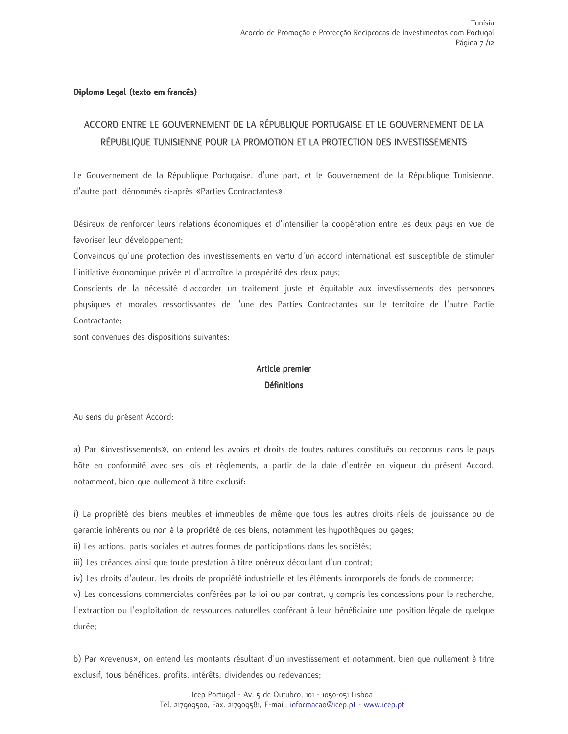## Diploma Legal (texto em francês)

# ACCORD ENTRE LE GOUVERNEMENT DE LA RÉPUBLIQUE PORTUGAISE ET LE GOUVERNEMENT DE LA RÉPUBLIQUE TUNISIENNE POUR LA PROMOTION ET LA PROTECTION DES INVESTISSEMENTS

Le Gouvernement de la République Portugaise, d'une part, et le Gouvernement de la République Tunisienne, d'autre part, dénommés ci-après «Parties Contractantes»:

Désireux de renforcer leurs relations économiques et d'intensifier la coopération entre les deux pays en vue de favoriser leur développement;

Convaincus qu'une protection des investissements en vertu d'un accord international est susceptible de stimuler l'initiative économique privée et d'accroître la prospérité des deux pays;

Conscients de la nécessité d'accorder un traitement juste et équitable aux investissements des personnes physiques et morales ressortissantes de l'une des Parties Contractantes sur le territoire de l'autre Partie Contractante:

sont convenues des dispositions suivantes:

# Article premier **Définitions**

Au sens du présent Accord:

a) Par «investissements», on entend les avoirs et droits de toutes natures constitués ou reconnus dans le pays hôte en conformité avec ses lois et règlements, a partir de la date d'entrée en viqueur du présent Accord, notamment, bien que nullement à titre exclusif:

i) La propriété des biens meubles et immeubles de même que tous les autres droits réels de jouissance ou de garantie inhérents ou non à la propriété de ces biens, notamment les hypothèques ou gages;

ii) Les actions, parts sociales et autres formes de participations dans les sociétés;

iii) Les créances ainsi que toute prestation à titre onéreux découlant d'un contrat;

iv) Les droits d'auteur, les droits de propriété industrielle et les éléments incorporels de fonds de commerce;

v) Les concessions commerciales conférées par la loi ou par contrat, y compris les concessions pour la recherche, l'extraction ou l'exploitation de ressources naturelles conférant à leur bénéficiaire une position légale de quelque durée:

b) Par «revenus», on entend les montants résultant d'un investissement et notamment, bien que nullement à titre exclusif, tous bénéfices, profits, intérêts, dividendes ou redevances;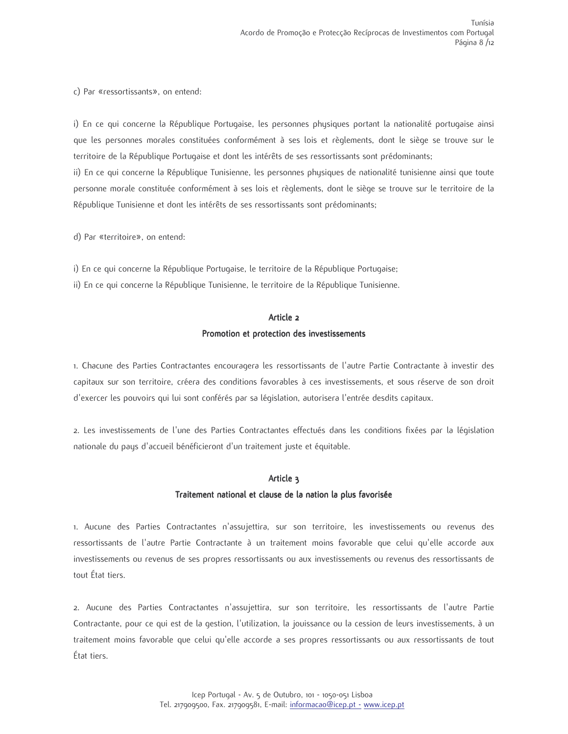c) Par «ressortissants», on entend:

i) En ce qui concerne la République Portugaise, les personnes physiques portant la nationalité portugaise ainsi que les personnes morales constituées conformément à ses lois et règlements, dont le siège se trouve sur le territoire de la République Portugaise et dont les intérêts de ses ressortissants sont prédominants;

ii) En ce qui concerne la République Tunisienne, les personnes physiques de nationalité tunisienne ainsi que toute personne morale constituée conformément à ses lois et règlements, dont le siège se trouve sur le territoire de la République Tunisienne et dont les intérêts de ses ressortissants sont prédominants;

d) Par «territoire», on entend:

i) En ce qui concerne la République Portugaise, le territoire de la République Portugaise;

ii) En ce qui concerne la République Tunisienne, le territoire de la République Tunisienne.

# Article 2 Promotion et protection des investissements

1. Chacune des Parties Contractantes encouragera les ressortissants de l'autre Partie Contractante à investir des capitaux sur son territoire, créera des conditions favorables à ces investissements, et sous réserve de son droit d'exercer les pouvoirs qui lui sont conférés par sa législation, autorisera l'entrée desdits capitaux.

2. Les investissements de l'une des Parties Contractantes effectués dans les conditions fixées par la législation nationale du pays d'accueil bénéficieront d'un traitement juste et équitable.

## Article 3

## Traitement national et clause de la nation la plus favorisée

1. Aucune des Parties Contractantes n'assujettira, sur son territoire, les investissements ou revenus des ressortissants de l'autre Partie Contractante à un traitement moins favorable que celui qu'elle accorde aux investissements ou revenus de ses propres ressortissants ou aux investissements ou revenus des ressortissants de tout État tiers.

2. Aucune des Parties Contractantes n'assujettira, sur son territoire, les ressortissants de l'autre Partie Contractante, pour ce qui est de la gestion, l'utilization, la jouissance ou la cession de leurs investissements, à un traitement moins favorable que celui qu'elle accorde a ses propres ressortissants ou aux ressortissants de tout État tiers.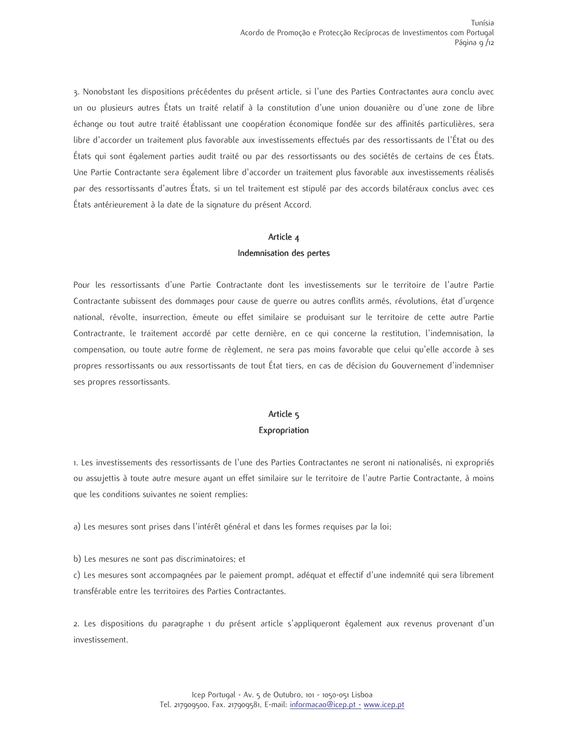3. Nonobstant les dispositions précédentes du présent article, si l'une des Parties Contractantes aura conclu avec un ou plusieurs autres États un traité relatif à la constitution d'une union douanière ou d'une zone de libre échange ou tout autre traité établissant une coopération économique fondée sur des affinités particulières, sera libre d'accorder un traitement plus favorable aux investissements effectués par des ressortissants de l'État ou des Etats qui sont également parties audit traité ou par des ressortissants ou des sociétés de certains de ces Etats. Une Partie Contractante sera également libre d'accorder un traitement plus favorable aux investissements réalisés par des ressortissants d'autres États, si un tel traitement est stipulé par des accords bilatéraux conclus avec ces États antérieurement à la date de la signature du présent Accord.

## Article 4

## Indemnisation des pertes

Pour les ressortissants d'une Partie Contractante dont les investissements sur le territoire de l'autre Partie Contractante subissent des dommages pour cause de querre ou autres conflits armés, révolutions, état d'urgence national, révolte, insurrection, émeute ou effet similaire se produisant sur le territoire de cette autre Partie Contractrante, le traitement accordé par cette dernière, en ce qui concerne la restitution, l'indemnisation, la compensation, ou toute autre forme de règlement, ne sera pas moins favorable que celui qu'elle accorde à ses propres ressortissants ou aux ressortissants de tout État tiers, en cas de décision du Gouvernement d'indemniser ses propres ressortissants.

## Article<sub>5</sub> Expropriation

1. Les investissements des ressortissants de l'une des Parties Contractantes ne seront ni nationalisés, ni expropriés ou assujettis à toute autre mesure ayant un effet similaire sur le territoire de l'autre Partie Contractante, à moins que les conditions suivantes ne soient remplies:

a) Les mesures sont prises dans l'intérêt général et dans les formes requises par la loi;

b) Les mesures ne sont pas discriminatoires; et

c) Les mesures sont accompagnées par le paiement prompt, adéquat et effectif d'une indemnité qui sera librement transférable entre les territoires des Parties Contractantes.

2. Les dispositions du paragraphe 1 du présent article s'appliqueront également aux revenus provenant d'un investissement.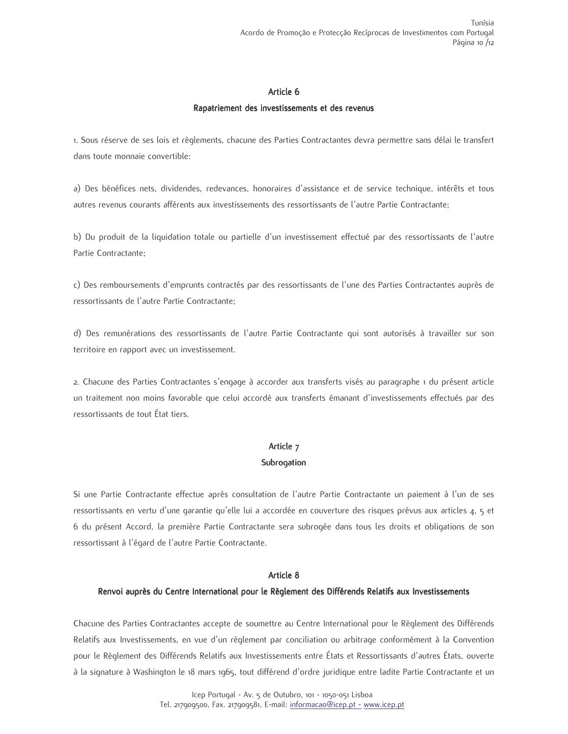### Article 6

### Rapatriement des investissements et des revenus

1. Sous réserve de ses lois et règlements, chacune des Parties Contractantes devra permettre sans délai le transfert dans toute monnaie convertible:

a) Des bénéfices nets, dividendes, redevances, honoraires d'assistance et de service technique, intérêts et tous autres revenus courants afférents aux investissements des ressortissants de l'autre Partie Contractante;

b) Du produit de la liquidation totale ou partielle d'un investissement effectué par des ressortissants de l'autre Partie Contractante:

c) Des remboursements d'emprunts contractés par des ressortissants de l'une des Parties Contractantes auprès de ressortissants de l'autre Partie Contractante;

d) Des remunérations des ressortissants de l'autre Partie Contractante qui sont autorisés à travailler sur son territoire en rapport avec un investissement.

2. Chacune des Parties Contractantes s'engage à accorder aux transferts visés au paragraphe 1 du présent article un traitement non moins favorable que celui accordé aux transferts émanant d'investissements effectués par des ressortissants de tout État tiers.

# Article 7 Subrogation

Si une Partie Contractante effectue après consultation de l'autre Partie Contractante un paiement à l'un de ses ressortissants en vertu d'une garantie qu'elle lui a accordée en couverture des risques prévus aux articles 4, 5 et 6 du présent Accord, la première Partie Contractante sera subrogée dans tous les droits et obligations de son ressortissant à l'égard de l'autre Partie Contractante.

### Article 8

## Renvoi auprès du Centre International pour le Règlement des Différends Relatifs aux Investissements

Chacune des Parties Contractantes accepte de soumettre au Centre International pour le Règlement des Différends Relatifs aux Investissements, en vue d'un règlement par conciliation ou arbitrage conformément à la Convention pour le Règlement des Différends Relatifs aux Investissements entre États et Ressortissants d'autres États, ouverte à la signature à Washington le 18 mars 1965, tout différend d'ordre juridique entre ladite Partie Contractante et un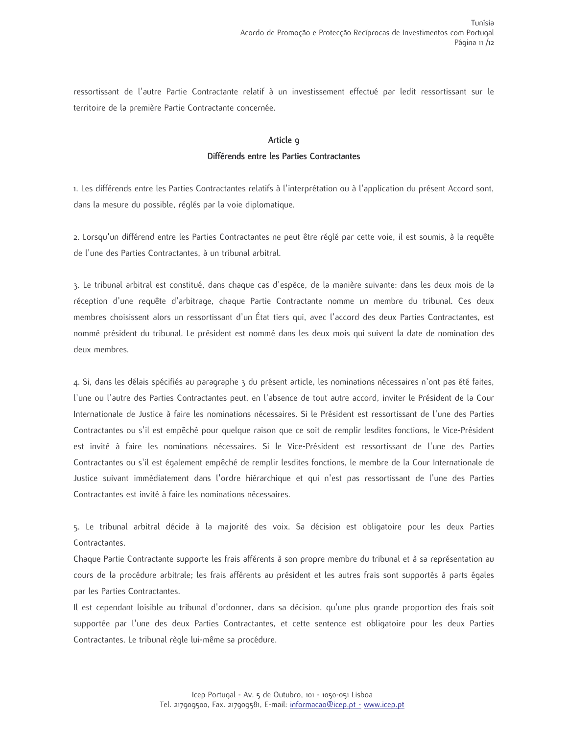ressortissant de l'autre Partie Contractante relatif à un investissement effectué par ledit ressortissant sur le territoire de la première Partie Contractante concernée.

# Article 9 Différends entre les Parties Contractantes

1. Les différends entre les Parties Contractantes relatifs à l'interprétation ou à l'application du présent Accord sont, dans la mesure du possible, réglés par la voie diplomatique.

2. Lorsqu'un différend entre les Parties Contractantes ne peut être réglé par cette voie, il est soumis, à la requête de l'une des Parties Contractantes, à un tribunal arbitral.

3. Le tribunal arbitral est constitué, dans chaque cas d'espèce, de la manière suivante: dans les deux mois de la réception d'une requête d'arbitrage, chaque Partie Contractante nomme un membre du tribunal. Ces deux membres choisissent alors un ressortissant d'un État tiers qui, avec l'accord des deux Parties Contractantes, est nommé président du tribunal. Le président est nommé dans les deux mois qui suivent la date de nomination des deux membres.

4. Si, dans les délais spécifiés au paragraphe 3 du présent article, les nominations nécessaires n'ont pas été faites, l'une ou l'autre des Parties Contractantes peut, en l'absence de tout autre accord, inviter le Président de la Cour Internationale de Justice à faire les nominations nécessaires. Si le Président est ressortissant de l'une des Parties Contractantes ou s'il est empêché pour quelque raison que ce soit de remplir lesdites fonctions, le Vice-Président est invité à faire les nominations nécessaires. Si le Vice-Président est ressortissant de l'une des Parties Contractantes ou s'il est également empêché de remplir lesdites fonctions, le membre de la Cour Internationale de Justice suivant immédiatement dans l'ordre hiérarchique et qui n'est pas ressortissant de l'une des Parties Contractantes est invité à faire les nominations nécessaires.

5. Le tribunal arbitral décide à la majorité des voix. Sa décision est obligatoire pour les deux Parties Contractantes.

Chaque Partie Contractante supporte les frais afférents à son propre membre du tribunal et à sa représentation au cours de la procédure arbitrale; les frais afférents au président et les autres frais sont supportés à parts égales par les Parties Contractantes.

Il est cependant loisible au tribunal d'ordonner, dans sa décision, qu'une plus grande proportion des frais soit supportée par l'une des deux Parties Contractantes, et cette sentence est obligatoire pour les deux Parties Contractantes. Le tribunal règle lui-même sa procédure.